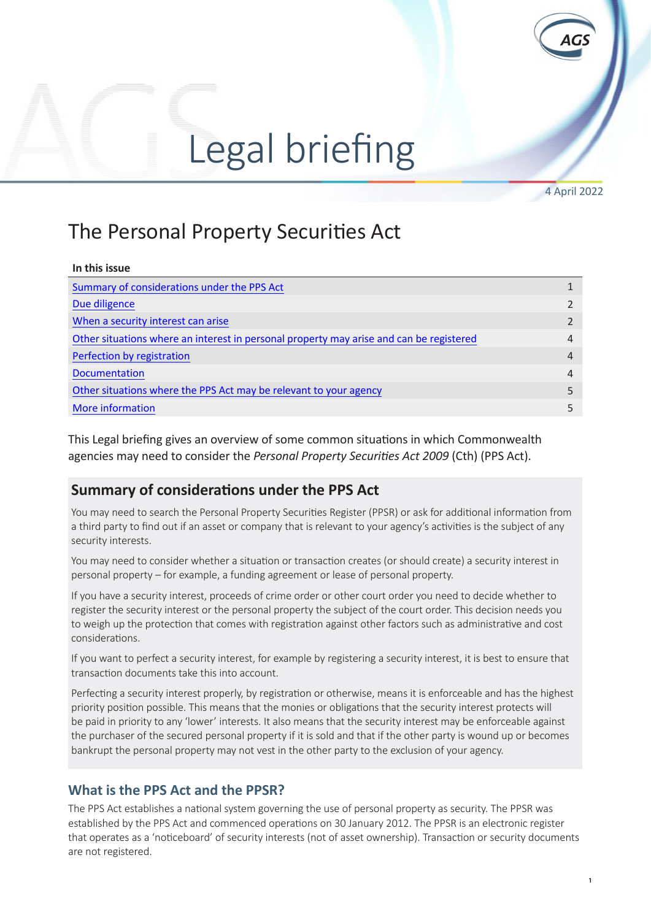# Legal briefing

4 April 2022

 $E = \frac{1}{\sqrt{2}}$ 

## The Personal Property Securities Act

| In this issue                                                                           |                |
|-----------------------------------------------------------------------------------------|----------------|
| Summary of considerations under the PPS Act                                             |                |
| Due diligence                                                                           |                |
| When a security interest can arise                                                      |                |
| Other situations where an interest in personal property may arise and can be registered | 4              |
| Perfection by registration                                                              | 4              |
| <b>Documentation</b>                                                                    | $\overline{4}$ |
| Other situations where the PPS Act may be relevant to your agency                       |                |
| More information                                                                        | 5              |

This Legal briefing gives an overview of some common situations in which Commonwealth agencies may need to consider the *Personal Property Securities Act 2009* (Cth) (PPS Act).

## **Summary of considerations under the PPS Act**

You may need to search the Personal Property Securities Register (PPSR) or ask for additional information from a third party to find out if an asset or company that is relevant to your agency's activities is the subject of any security interests.

You may need to consider whether a situation or transaction creates (or should create) a security interest in personal property – for example, a funding agreement or lease of personal property.

If you have a security interest, proceeds of crime order or other court order you need to decide whether to register the security interest or the personal property the subject of the court order. This decision needs you to weigh up the protection that comes with registration against other factors such as administrative and cost considerations.

If you want to perfect a security interest, for example by registering a security interest, it is best to ensure that transaction documents take this into account.

Perfecting a security interest properly, by registration or otherwise, means it is enforceable and has the highest priority position possible. This means that the monies or obligations that the security interest protects will be paid in priority to any 'lower' interests. It also means that the security interest may be enforceable against the purchaser of the secured personal property if it is sold and that if the other party is wound up or becomes bankrupt the personal property may not vest in the other party to the exclusion of your agency.

## **What is the PPS Act and the PPSR?**

The PPS Act establishes a national system governing the use of personal property as security. The PPSR was established by the PPS Act and commenced operations on 30 January 2012. The PPSR is an electronic register that operates as a 'noticeboard' of security interests (not of asset ownership). Transaction or security documents are not registered.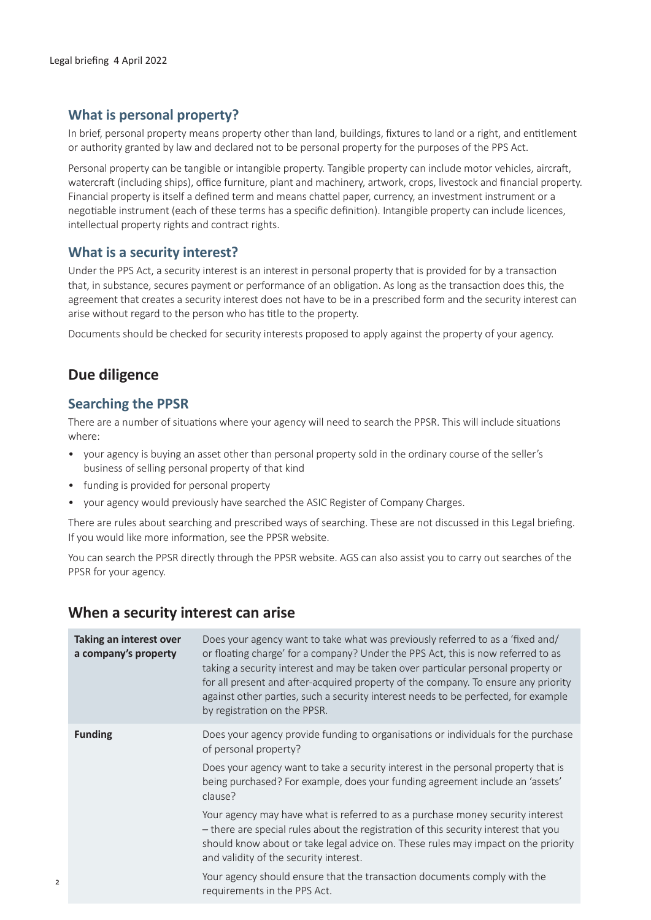### <span id="page-1-0"></span>**What is personal property?**

In brief, personal property means property other than land, buildings, fixtures to land or a right, and entitlement or authority granted by law and declared not to be personal property for the purposes of the PPS Act.

Personal property can be tangible or intangible property. Tangible property can include motor vehicles, aircraft, watercraft (including ships), office furniture, plant and machinery, artwork, crops, livestock and financial property. Financial property is itself a defined term and means chattel paper, currency, an investment instrument or a negotiable instrument (each of these terms has a specific definition). Intangible property can include licences, intellectual property rights and contract rights.

#### **What is a security interest?**

Under the PPS Act, a security interest is an interest in personal property that is provided for by a transaction that, in substance, secures payment or performance of an obligation. As long as the transaction does this, the agreement that creates a security interest does not have to be in a prescribed form and the security interest can arise without regard to the person who has title to the property.

Documents should be checked for security interests proposed to apply against the property of your agency.

### **Due diligence**

#### **Searching the PPSR**

There are a number of situations where your agency will need to search the PPSR. This will include situations where:

- your agency is buying an asset other than personal property sold in the ordinary course of the seller's business of selling personal property of that kind
- funding is provided for personal property
- your agency would previously have searched the ASIC Register of Company Charges.

There are rules about searching and prescribed ways of searching. These are not discussed in this Legal briefing. If you would like more information, see the PPSR website.

You can search the PPSR directly through the PPSR website. AGS can also assist you to carry out searches of the PPSR for your agency.

#### **When a security interest can arise**

| Taking an interest over<br>a company's property | Does your agency want to take what was previously referred to as a 'fixed and/<br>or floating charge' for a company? Under the PPS Act, this is now referred to as<br>taking a security interest and may be taken over particular personal property or<br>for all present and after-acquired property of the company. To ensure any priority<br>against other parties, such a security interest needs to be perfected, for example<br>by registration on the PPSR. |
|-------------------------------------------------|--------------------------------------------------------------------------------------------------------------------------------------------------------------------------------------------------------------------------------------------------------------------------------------------------------------------------------------------------------------------------------------------------------------------------------------------------------------------|
| <b>Funding</b>                                  | Does your agency provide funding to organisations or individuals for the purchase<br>of personal property?<br>Does your agency want to take a security interest in the personal property that is<br>being purchased? For example, does your funding agreement include an 'assets'<br>clause?                                                                                                                                                                       |
|                                                 | Your agency may have what is referred to as a purchase money security interest<br>- there are special rules about the registration of this security interest that you<br>should know about or take legal advice on. These rules may impact on the priority<br>and validity of the security interest.                                                                                                                                                               |
|                                                 | Your agency should ensure that the transaction documents comply with the<br>requirements in the PPS Act.                                                                                                                                                                                                                                                                                                                                                           |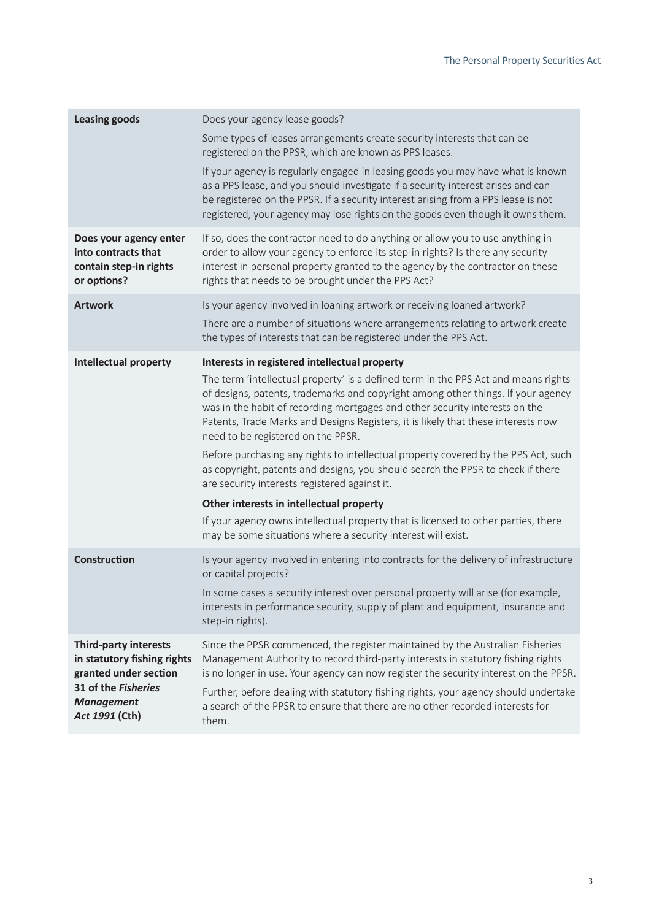| <b>Leasing goods</b>                                                                                                                               | Does your agency lease goods?                                                                                                                                                                                                                                                                                                                                                    |
|----------------------------------------------------------------------------------------------------------------------------------------------------|----------------------------------------------------------------------------------------------------------------------------------------------------------------------------------------------------------------------------------------------------------------------------------------------------------------------------------------------------------------------------------|
|                                                                                                                                                    | Some types of leases arrangements create security interests that can be<br>registered on the PPSR, which are known as PPS leases.                                                                                                                                                                                                                                                |
|                                                                                                                                                    | If your agency is regularly engaged in leasing goods you may have what is known<br>as a PPS lease, and you should investigate if a security interest arises and can<br>be registered on the PPSR. If a security interest arising from a PPS lease is not<br>registered, your agency may lose rights on the goods even though it owns them.                                       |
| Does your agency enter<br>into contracts that<br>contain step-in rights<br>or options?                                                             | If so, does the contractor need to do anything or allow you to use anything in<br>order to allow your agency to enforce its step-in rights? Is there any security<br>interest in personal property granted to the agency by the contractor on these<br>rights that needs to be brought under the PPS Act?                                                                        |
| <b>Artwork</b>                                                                                                                                     | Is your agency involved in loaning artwork or receiving loaned artwork?                                                                                                                                                                                                                                                                                                          |
|                                                                                                                                                    | There are a number of situations where arrangements relating to artwork create<br>the types of interests that can be registered under the PPS Act.                                                                                                                                                                                                                               |
| <b>Intellectual property</b>                                                                                                                       | Interests in registered intellectual property                                                                                                                                                                                                                                                                                                                                    |
|                                                                                                                                                    | The term 'intellectual property' is a defined term in the PPS Act and means rights<br>of designs, patents, trademarks and copyright among other things. If your agency<br>was in the habit of recording mortgages and other security interests on the<br>Patents, Trade Marks and Designs Registers, it is likely that these interests now<br>need to be registered on the PPSR. |
|                                                                                                                                                    | Before purchasing any rights to intellectual property covered by the PPS Act, such<br>as copyright, patents and designs, you should search the PPSR to check if there<br>are security interests registered against it.                                                                                                                                                           |
|                                                                                                                                                    | Other interests in intellectual property                                                                                                                                                                                                                                                                                                                                         |
|                                                                                                                                                    | If your agency owns intellectual property that is licensed to other parties, there<br>may be some situations where a security interest will exist.                                                                                                                                                                                                                               |
| <b>Construction</b>                                                                                                                                | Is your agency involved in entering into contracts for the delivery of infrastructure<br>or capital projects?                                                                                                                                                                                                                                                                    |
|                                                                                                                                                    | In some cases a security interest over personal property will arise (for example,<br>interests in performance security, supply of plant and equipment, insurance and<br>step-in rights).                                                                                                                                                                                         |
| <b>Third-party interests</b><br>in statutory fishing rights<br>granted under section<br>31 of the Fisheries<br><b>Management</b><br>Act 1991 (Cth) | Since the PPSR commenced, the register maintained by the Australian Fisheries<br>Management Authority to record third-party interests in statutory fishing rights<br>is no longer in use. Your agency can now register the security interest on the PPSR.                                                                                                                        |
|                                                                                                                                                    | Further, before dealing with statutory fishing rights, your agency should undertake<br>a search of the PPSR to ensure that there are no other recorded interests for<br>them.                                                                                                                                                                                                    |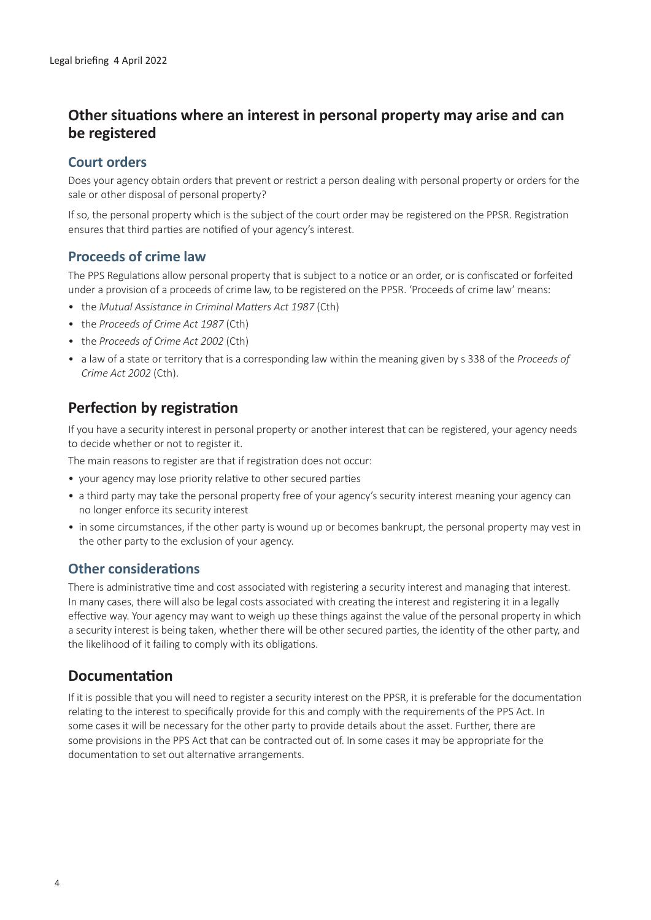## <span id="page-3-0"></span>**Other situations where an interest in personal property may arise and can be registered**

## **Court orders**

Does your agency obtain orders that prevent or restrict a person dealing with personal property or orders for the sale or other disposal of personal property?

If so, the personal property which is the subject of the court order may be registered on the PPSR. Registration ensures that third parties are notified of your agency's interest.

## **Proceeds of crime law**

The PPS Regulations allow personal property that is subject to a notice or an order, or is confiscated or forfeited under a provision of a proceeds of crime law, to be registered on the PPSR. 'Proceeds of crime law' means:

- the *Mutual Assistance in Criminal Matters Act 1987* (Cth)
- the *Proceeds of Crime Act 1987* (Cth)
- the *Proceeds of Crime Act 2002* (Cth)
- a law of a state or territory that is a corresponding law within the meaning given by s 338 of the *Proceeds of Crime Act 2002* (Cth).

## **Perfection by registration**

If you have a security interest in personal property or another interest that can be registered, your agency needs to decide whether or not to register it.

The main reasons to register are that if registration does not occur:

- your agency may lose priority relative to other secured parties
- a third party may take the personal property free of your agency's security interest meaning your agency can no longer enforce its security interest
- in some circumstances, if the other party is wound up or becomes bankrupt, the personal property may vest in the other party to the exclusion of your agency.

### **Other considerations**

There is administrative time and cost associated with registering a security interest and managing that interest. In many cases, there will also be legal costs associated with creating the interest and registering it in a legally effective way. Your agency may want to weigh up these things against the value of the personal property in which a security interest is being taken, whether there will be other secured parties, the identity of the other party, and the likelihood of it failing to comply with its obligations.

## **Documentation**

If it is possible that you will need to register a security interest on the PPSR, it is preferable for the documentation relating to the interest to specifically provide for this and comply with the requirements of the PPS Act. In some cases it will be necessary for the other party to provide details about the asset. Further, there are some provisions in the PPS Act that can be contracted out of. In some cases it may be appropriate for the documentation to set out alternative arrangements.